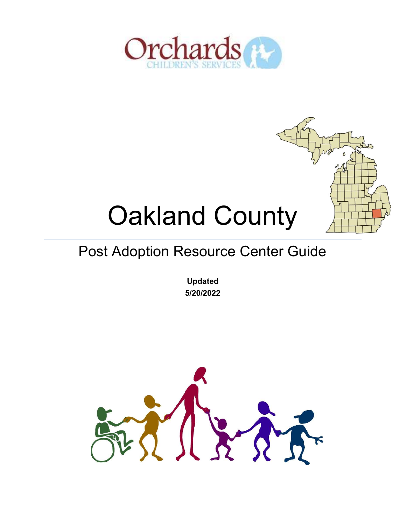



# Oakland County

## Post Adoption Resource Center Guide

Updated 5/20/2022

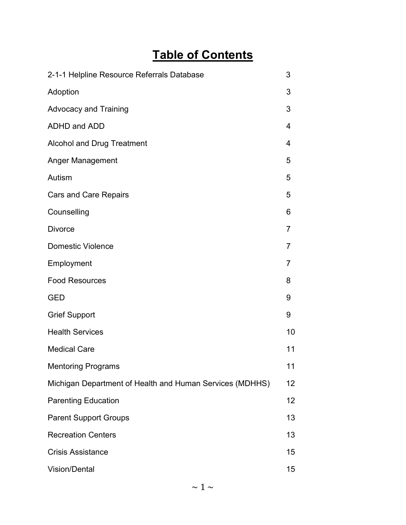#### Table of Contents

| 2-1-1 Helpline Resource Referrals Database               | 3               |
|----------------------------------------------------------|-----------------|
| Adoption                                                 | 3               |
| <b>Advocacy and Training</b>                             | 3               |
| ADHD and ADD                                             | 4               |
| <b>Alcohol and Drug Treatment</b>                        | 4               |
| <b>Anger Management</b>                                  | 5               |
| Autism                                                   | 5               |
| <b>Cars and Care Repairs</b>                             | 5               |
| Counselling                                              | 6               |
| <b>Divorce</b>                                           | $\overline{7}$  |
| <b>Domestic Violence</b>                                 | 7               |
| Employment                                               | 7               |
| <b>Food Resources</b>                                    | 8               |
| <b>GED</b>                                               | 9               |
| <b>Grief Support</b>                                     | 9               |
| <b>Health Services</b>                                   | 10              |
| <b>Medical Care</b>                                      | 11              |
| <b>Mentoring Programs</b>                                | 11              |
| Michigan Department of Health and Human Services (MDHHS) | 12              |
| <b>Parenting Education</b>                               | 12 <sup>2</sup> |
| <b>Parent Support Groups</b>                             | 13              |
| <b>Recreation Centers</b>                                | 13              |
| <b>Crisis Assistance</b>                                 | 15              |
| <b>Vision/Dental</b>                                     | 15              |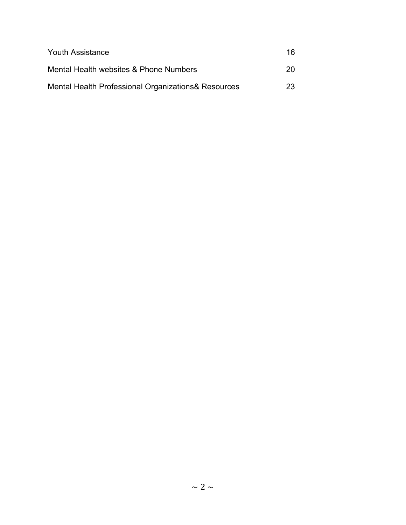| <b>Youth Assistance</b>                             | 16 |
|-----------------------------------------------------|----|
| Mental Health websites & Phone Numbers              | 20 |
| Mental Health Professional Organizations& Resources | 23 |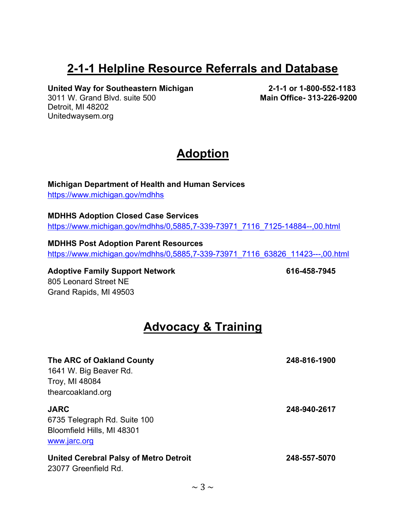#### 2-1-1 Helpline Resource Referrals and Database

United Way for Southeastern Michigan 2-1-1 or 1-800-552-1183

3011 W. Grand Blvd. suite 500 Main Office- 313-226-9200 Detroit, MI 48202 Unitedwaysem.org

#### **Adoption**

Michigan Department of Health and Human Services https://www.michigan.gov/mdhhs

MDHHS Adoption Closed Case Services https://www.michigan.gov/mdhhs/0,5885,7-339-73971\_7116\_7125-14884--,00.html

MDHHS Post Adoption Parent Resources https://www.michigan.gov/mdhhs/0,5885,7-339-73971\_7116\_63826\_11423---,00.html

Adoptive Family Support Network 616-458-7945 805 Leonard Street NE Grand Rapids, MI 49503

#### Advocacy & Training

| The ARC of Oakland County                                             | 248-816-1900 |
|-----------------------------------------------------------------------|--------------|
| 1641 W. Big Beaver Rd.                                                |              |
| Troy, MI 48084                                                        |              |
| thearcoakland.org                                                     |              |
| <b>JARC</b>                                                           | 248-940-2617 |
| 6735 Telegraph Rd. Suite 100                                          |              |
| Bloomfield Hills, MI 48301                                            |              |
| www.jarc.org                                                          |              |
| <b>United Cerebral Palsy of Metro Detroit</b><br>23077 Greenfield Rd. | 248-557-5070 |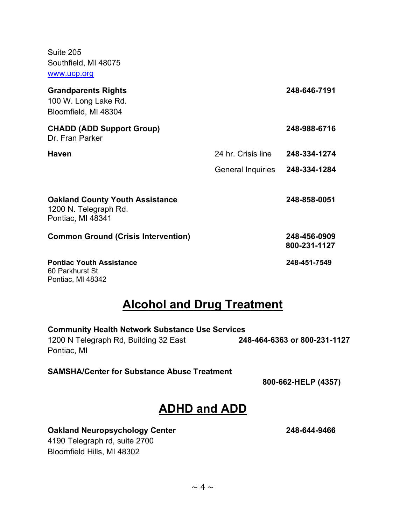Suite 205 Southfield, MI 48075 www.ucp.org

| <b>Grandparents Rights</b><br>100 W. Long Lake Rd.<br>Bloomfield, MI 48304           |                    | 248-646-7191                 |
|--------------------------------------------------------------------------------------|--------------------|------------------------------|
| <b>CHADD (ADD Support Group)</b><br>Dr. Fran Parker                                  |                    | 248-988-6716                 |
| <b>Haven</b>                                                                         | 24 hr. Crisis line | 248-334-1274                 |
|                                                                                      | General Inquiries  | 248-334-1284                 |
| <b>Oakland County Youth Assistance</b><br>1200 N. Telegraph Rd.<br>Pontiac, MI 48341 |                    | 248-858-0051                 |
| <b>Common Ground (Crisis Intervention)</b>                                           |                    | 248-456-0909<br>800-231-1127 |
| <b>Pontiac Youth Assistance</b><br>60 Parkhurst St.                                  |                    | 248-451-7549                 |

#### Pontiac, MI 48342

#### Alcohol and Drug Treatment

| <b>Community Health Network Substance Use Services</b> |                              |  |
|--------------------------------------------------------|------------------------------|--|
| 1200 N Telegraph Rd, Building 32 East                  | 248-464-6363 or 800-231-1127 |  |
| Pontiac, MI                                            |                              |  |

#### SAMSHA/Center for Substance Abuse Treatment

800-662-HELP (4357)

#### ADHD and ADD

#### Oakland Neuropsychology Center 248-644-9466

4190 Telegraph rd, suite 2700 Bloomfield Hills, MI 48302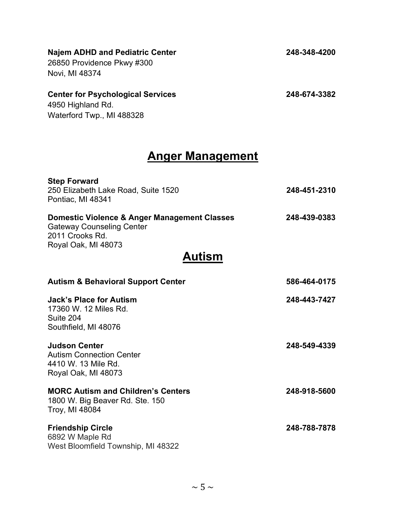| <b>Najem ADHD and Pediatric Center</b><br>26850 Providence Pkwy #300<br>Novi, MI 48374                                     | 248-348-4200 |
|----------------------------------------------------------------------------------------------------------------------------|--------------|
| <b>Center for Psychological Services</b><br>4950 Highland Rd.<br>Waterford Twp., MI 488328                                 | 248-674-3382 |
| <b>Anger Management</b>                                                                                                    |              |
| <b>Step Forward</b><br>250 Elizabeth Lake Road, Suite 1520<br>Pontiac, MI 48341                                            | 248-451-2310 |
| Domestic Violence & Anger Management Classes<br><b>Gateway Counseling Center</b><br>2011 Crooks Rd.<br>Royal Oak, MI 48073 | 248-439-0383 |
| Autism                                                                                                                     |              |
| <b>Autism &amp; Behavioral Support Center</b>                                                                              | 586-464-0175 |
| <b>Jack's Place for Autism</b><br>17360 W. 12 Miles Rd.<br>Suite 204<br>Southfield, MI 48076                               | 248-443-7427 |
| <b>Judson Center</b><br><b>Autism Connection Center</b><br>4410 W. 13 Mile Rd.<br>Royal Oak, MI 48073                      | 248-549-4339 |
| <b>MORC Autism and Children's Centers</b><br>1800 W. Big Beaver Rd. Ste. 150<br>Troy, MI 48084                             | 248-918-5600 |
| <b>Friendship Circle</b><br>6892 W Maple Rd<br>West Bloomfield Township, MI 48322                                          | 248-788-7878 |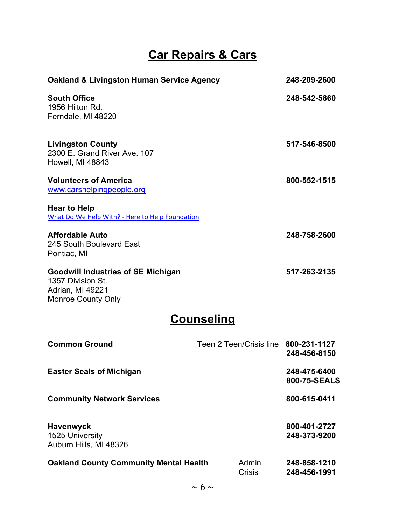#### Car Repairs & Cars

| <b>Oakland &amp; Livingston Human Service Agency</b>                                                            |                                      | 248-209-2600 |
|-----------------------------------------------------------------------------------------------------------------|--------------------------------------|--------------|
| <b>South Office</b><br>1956 Hilton Rd.<br>Ferndale, MI 48220                                                    |                                      | 248-542-5860 |
| <b>Livingston County</b><br>2300 E. Grand River Ave, 107<br>Howell, MI 48843                                    |                                      | 517-546-8500 |
| <b>Volunteers of America</b><br>www.carshelpingpeople.org                                                       |                                      | 800-552-1515 |
| <b>Hear to Help</b><br>What Do We Help With? - Here to Help Foundation                                          |                                      |              |
| <b>Affordable Auto</b><br>245 South Boulevard East<br>Pontiac, MI                                               |                                      | 248-758-2600 |
| <b>Goodwill Industries of SE Michigan</b><br>1357 Division St.<br>Adrian, MI 49221<br><b>Monroe County Only</b> |                                      | 517-263-2135 |
| <b>Counseling</b>                                                                                               |                                      |              |
| <b>Common Ground</b>                                                                                            | Teen 2 Teen/Crisis line 800-231-1127 | 248-456-8150 |
| <b>Easter Seals of Michigan</b>                                                                                 |                                      | 248-475-6400 |

Community Network Services 800-615-0411

Havenwyck 800-401-2727 1525 University 248-373-9200 Auburn Hills, MI 48326

Oakland County Community Mental Health Admin. 248-858-1210 Crisis 248-456-1991

800-75-SEALS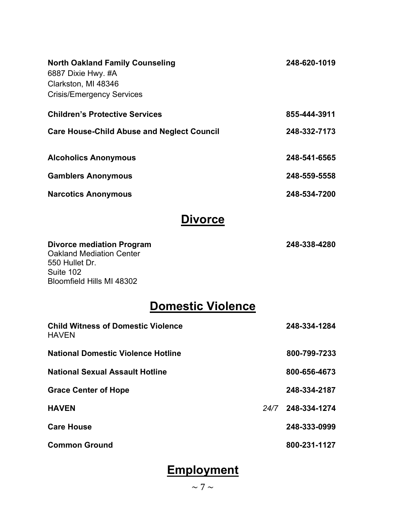| <b>North Oakland Family Counseling</b><br>6887 Dixie Hwy. #A<br>Clarkston, MI 48346<br><b>Crisis/Emergency Services</b>         |      | 248-620-1019 |
|---------------------------------------------------------------------------------------------------------------------------------|------|--------------|
| <b>Children's Protective Services</b>                                                                                           |      | 855-444-3911 |
| <b>Care House-Child Abuse and Neglect Council</b>                                                                               |      | 248-332-7173 |
| <b>Alcoholics Anonymous</b>                                                                                                     |      | 248-541-6565 |
| <b>Gamblers Anonymous</b>                                                                                                       |      | 248-559-5558 |
| <b>Narcotics Anonymous</b>                                                                                                      |      | 248-534-7200 |
| <b>Divorce</b>                                                                                                                  |      |              |
| <b>Divorce mediation Program</b><br><b>Oakland Mediation Center</b><br>550 Hullet Dr.<br>Suite 102<br>Bloomfield Hills MI 48302 |      | 248-338-4280 |
| <b>Domestic Violence</b>                                                                                                        |      |              |
| <b>Child Witness of Domestic Violence</b><br><b>HAVEN</b>                                                                       |      | 248-334-1284 |
| <b>National Domestic Violence Hotline</b>                                                                                       |      | 800-799-7233 |
| <b>National Sexual Assault Hotline</b>                                                                                          |      | 800-656-4673 |
| <b>Grace Center of Hope</b>                                                                                                     |      | 248-334-2187 |
| <b>HAVEN</b>                                                                                                                    | 24/7 | 248-334-1274 |
| <b>Care House</b>                                                                                                               |      | 248-333-0999 |
| <b>Common Ground</b>                                                                                                            |      | 800-231-1127 |

## **Employment**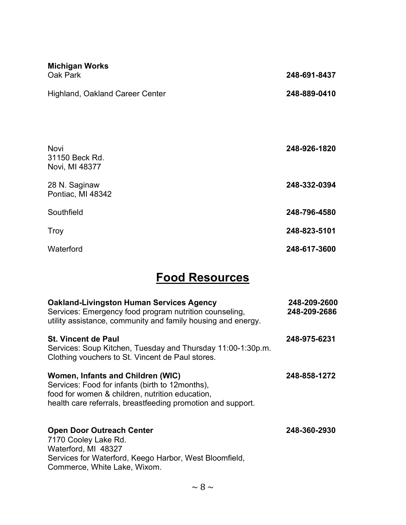| <b>Michigan Works</b><br>Oak Park        | 248-691-8437 |
|------------------------------------------|--------------|
| <b>Highland, Oakland Career Center</b>   | 248-889-0410 |
| Novi<br>31150 Beck Rd.<br>Novi, MI 48377 | 248-926-1820 |
| 28 N. Saginaw<br>Pontiac, MI 48342       | 248-332-0394 |
| Southfield                               | 248-796-4580 |
| Troy                                     | 248-823-5101 |
| Waterford                                | 248-617-3600 |

#### Food Resources

| <b>Oakland-Livingston Human Services Agency</b><br>Services: Emergency food program nutrition counseling,<br>utility assistance, community and family housing and energy.                              | 248-209-2600<br>248-209-2686 |
|--------------------------------------------------------------------------------------------------------------------------------------------------------------------------------------------------------|------------------------------|
| <b>St. Vincent de Paul</b><br>Services: Soup Kitchen, Tuesday and Thursday 11:00-1:30p.m.<br>Clothing vouchers to St. Vincent de Paul stores.                                                          | 248-975-6231                 |
| Women, Infants and Children (WIC)<br>Services: Food for infants (birth to 12months),<br>food for women & children, nutrition education,<br>health care referrals, breastfeeding promotion and support. | 248-858-1272                 |
| <b>Open Door Outreach Center</b><br>7170 Cooley Lake Rd.<br>Waterford, MI 48327<br>Services for Waterford, Keego Harbor, West Bloomfield,<br>Commerce, White Lake, Wixom.                              | 248-360-2930                 |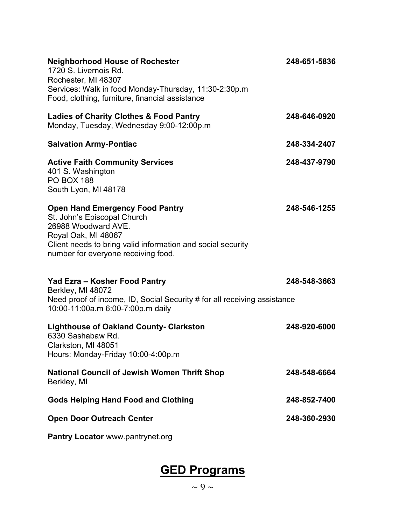| <b>Neighborhood House of Rochester</b><br>1720 S. Livernois Rd.<br>Rochester, MI 48307<br>Services: Walk in food Monday-Thursday, 11:30-2:30p.m<br>Food, clothing, furniture, financial assistance                        | 248-651-5836 |
|---------------------------------------------------------------------------------------------------------------------------------------------------------------------------------------------------------------------------|--------------|
| <b>Ladies of Charity Clothes &amp; Food Pantry</b><br>Monday, Tuesday, Wednesday 9:00-12:00p.m                                                                                                                            | 248-646-0920 |
| <b>Salvation Army-Pontiac</b>                                                                                                                                                                                             | 248-334-2407 |
| <b>Active Faith Community Services</b><br>401 S. Washington<br><b>PO BOX 188</b><br>South Lyon, MI 48178                                                                                                                  | 248-437-9790 |
| <b>Open Hand Emergency Food Pantry</b><br>St. John's Episcopal Church<br>26988 Woodward AVE.<br>Royal Oak, MI 48067<br>Client needs to bring valid information and social security<br>number for everyone receiving food. | 248-546-1255 |
| Yad Ezra - Kosher Food Pantry<br>Berkley, MI 48072<br>Need proof of income, ID, Social Security # for all receiving assistance<br>10:00-11:00a.m 6:00-7:00p.m daily                                                       | 248-548-3663 |
| <b>Lighthouse of Oakland County- Clarkston</b><br>6330 Sashabaw Rd.<br>Clarkston, MI 48051<br>Hours: Monday-Friday 10:00-4:00p.m                                                                                          | 248-920-6000 |
| <b>National Council of Jewish Women Thrift Shop</b><br>Berkley, MI                                                                                                                                                        | 248-548-6664 |
| <b>Gods Helping Hand Food and Clothing</b>                                                                                                                                                                                | 248-852-7400 |
| <b>Open Door Outreach Center</b>                                                                                                                                                                                          | 248-360-2930 |
| Pantry Locator www.pantrynet.org                                                                                                                                                                                          |              |

# GED Programs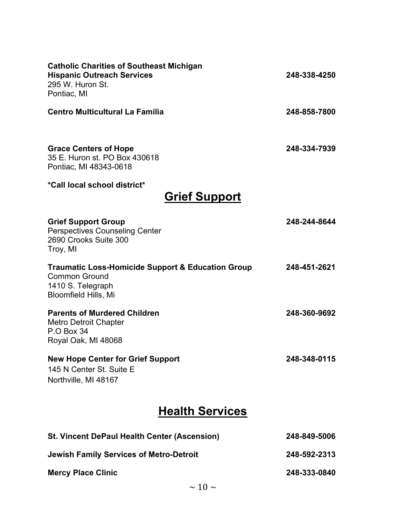| <b>Catholic Charities of Southeast Michigan</b><br><b>Hispanic Outreach Services</b><br>295 W. Huron St.<br>Pontiac, MI                  | 248-338-4250 |
|------------------------------------------------------------------------------------------------------------------------------------------|--------------|
| <b>Centro Multicultural La Familia</b>                                                                                                   | 248-858-7800 |
| <b>Grace Centers of Hope</b><br>35 E. Huron st. PO Box 430618<br>Pontiac, MI 48343-0618                                                  | 248-334-7939 |
| *Call local school district*                                                                                                             |              |
| <b>Grief Support</b>                                                                                                                     |              |
| <b>Grief Support Group</b><br><b>Perspectives Counseling Center</b><br>2690 Crooks Suite 300<br>Troy, MI                                 | 248-244-8644 |
| <b>Traumatic Loss-Homicide Support &amp; Education Group</b><br><b>Common Ground</b><br>1410 S. Telegraph<br><b>Bloomfield Hills, Mi</b> | 248-451-2621 |
| <b>Parents of Murdered Children</b><br><b>Metro Detroit Chapter</b><br><b>P.O Box 34</b><br>Royal Oak, MI 48068                          | 248-360-9692 |
| <b>New Hope Center for Grief Support</b><br>145 N Center St. Suite E<br>Northville, MI 48167                                             | 248-348-0115 |
| <b>Health Services</b>                                                                                                                   |              |
| <b>St. Vincent DePaul Health Center (Ascension)</b>                                                                                      | 248-849-5006 |
| <b>Jewish Family Services of Metro-Detroit</b>                                                                                           | 248-592-2313 |
| <b>Mercy Place Clinic</b>                                                                                                                | 248-333-0840 |
| $\sim$ 10 $\sim$                                                                                                                         |              |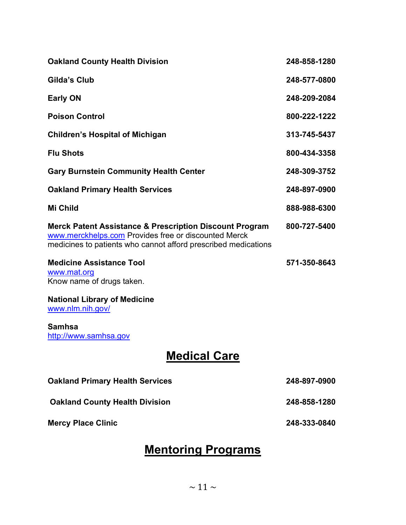| <b>Oakland County Health Division</b>                                                                                                                                                        | 248-858-1280 |
|----------------------------------------------------------------------------------------------------------------------------------------------------------------------------------------------|--------------|
| <b>Gilda's Club</b>                                                                                                                                                                          | 248-577-0800 |
| <b>Early ON</b>                                                                                                                                                                              | 248-209-2084 |
| <b>Poison Control</b>                                                                                                                                                                        | 800-222-1222 |
| <b>Children's Hospital of Michigan</b>                                                                                                                                                       | 313-745-5437 |
| <b>Flu Shots</b>                                                                                                                                                                             | 800-434-3358 |
| <b>Gary Burnstein Community Health Center</b>                                                                                                                                                | 248-309-3752 |
| <b>Oakland Primary Health Services</b>                                                                                                                                                       | 248-897-0900 |
| <b>Mi Child</b>                                                                                                                                                                              | 888-988-6300 |
| <b>Merck Patent Assistance &amp; Prescription Discount Program</b><br>www.merckhelps.com Provides free or discounted Merck<br>medicines to patients who cannot afford prescribed medications | 800-727-5400 |
| <b>Medicine Assistance Tool</b><br>www.mat.org<br>Know name of drugs taken.                                                                                                                  | 571-350-8643 |
| <b>National Library of Medicine</b><br>www.nlm.nih.gov/                                                                                                                                      |              |
| <b>Samhsa</b><br>http://www.samhsa.gov                                                                                                                                                       |              |

## **Medical Care**

| <b>Oakland Primary Health Services</b> | 248-897-0900 |
|----------------------------------------|--------------|
| <b>Oakland County Health Division</b>  | 248-858-1280 |
| <b>Mercy Place Clinic</b>              | 248-333-0840 |

#### Mentoring Programs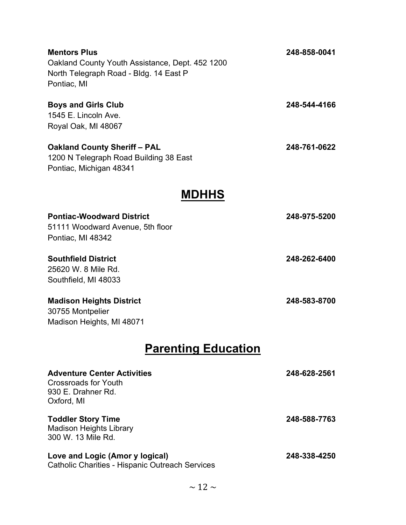| <b>Mentors Plus</b><br>Oakland County Youth Assistance, Dept. 452 1200<br>North Telegraph Road - Bldg. 14 East P<br>Pontiac, MI | 248-858-0041 |
|---------------------------------------------------------------------------------------------------------------------------------|--------------|
| <b>Boys and Girls Club</b><br>1545 E. Lincoln Ave.<br>Royal Oak, MI 48067                                                       | 248-544-4166 |
| <b>Oakland County Sheriff - PAL</b><br>1200 N Telegraph Road Building 38 East<br>Pontiac, Michigan 48341                        | 248-761-0622 |
| <b>MDHHS</b>                                                                                                                    |              |
| <b>Pontiac-Woodward District</b><br>51111 Woodward Avenue, 5th floor<br>Pontiac, MI 48342                                       | 248-975-5200 |
| <b>Southfield District</b><br>25620 W. 8 Mile Rd.<br>Southfield, MI 48033                                                       | 248-262-6400 |
| <b>Madison Heights District</b><br>30755 Montpelier<br>Madison Heights, MI 48071                                                | 248-583-8700 |
| <b>Parenting Education</b>                                                                                                      |              |
| <b>Adventure Center Activities</b><br><b>Crossroads for Youth</b><br>930 E. Drahner Rd.<br>Oxford, MI                           | 248-628-2561 |
| <b>Toddler Story Time</b><br><b>Madison Heights Library</b><br>300 W. 13 Mile Rd.                                               | 248-588-7763 |
| Love and Logic (Amor y logical)<br><b>Catholic Charities - Hispanic Outreach Services</b>                                       | 248-338-4250 |
| $\sim$ 12 $\sim$                                                                                                                |              |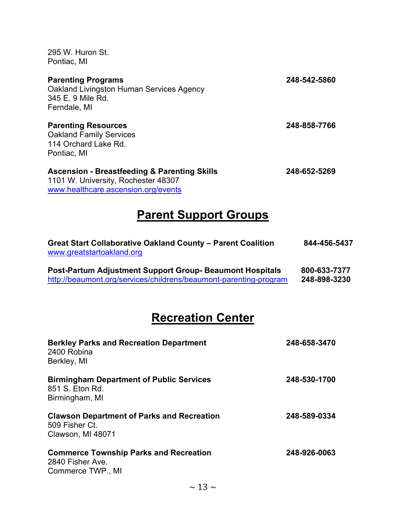| 295 W. Huron St.<br>Pontiac, MI                                                                                                       |              |
|---------------------------------------------------------------------------------------------------------------------------------------|--------------|
| <b>Parenting Programs</b><br>Oakland Livingston Human Services Agency<br>345 E. 9 Mile Rd.<br>Ferndale, MI                            | 248-542-5860 |
| <b>Parenting Resources</b><br><b>Oakland Family Services</b><br>114 Orchard Lake Rd.<br>Pontiac, MI                                   | 248-858-7766 |
| <b>Ascension - Breastfeeding &amp; Parenting Skills</b><br>1101 W. University, Rochester 48307<br>www.healthcare.ascension.org/events | 248-652-5269 |

## Parent Support Groups

| <b>Great Start Collaborative Oakland County - Parent Coalition</b><br>www.greatstartoakland.org | 844-456-5437 |
|-------------------------------------------------------------------------------------------------|--------------|
| <b>Post-Partum Adjustment Support Group-Beaumont Hospitals</b>                                  | 800-633-7377 |
| http://beaumont.org/services/childrens/beaumont-parenting-program                               | 248-898-3230 |

## Recreation Center

| <b>Berkley Parks and Recreation Department</b><br>2400 Robina<br>Berkley, MI             | 248-658-3470 |
|------------------------------------------------------------------------------------------|--------------|
| <b>Birmingham Department of Public Services</b><br>851 S. Eton Rd.<br>Birmingham, MI     | 248-530-1700 |
| <b>Clawson Department of Parks and Recreation</b><br>509 Fisher Ct.<br>Clawson, MI 48071 | 248-589-0334 |
| <b>Commerce Township Parks and Recreation</b><br>2840 Fisher Ave.<br>Commerce TWP., MI   | 248-926-0063 |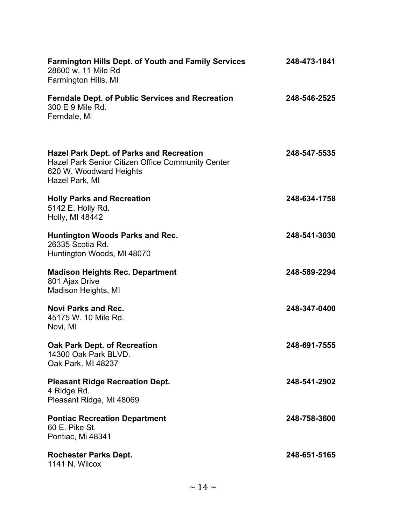| <b>Farmington Hills Dept. of Youth and Family Services</b><br>28600 w. 11 Mile Rd<br>Farmington Hills, MI                                         | 248-473-1841 |
|---------------------------------------------------------------------------------------------------------------------------------------------------|--------------|
| <b>Ferndale Dept. of Public Services and Recreation</b><br>300 E 9 Mile Rd.<br>Ferndale, Mi                                                       | 248-546-2525 |
| <b>Hazel Park Dept. of Parks and Recreation</b><br>Hazel Park Senior Citizen Office Community Center<br>620 W. Woodward Heights<br>Hazel Park, MI | 248-547-5535 |
| <b>Holly Parks and Recreation</b><br>5142 E. Holly Rd.<br>Holly, MI 48442                                                                         | 248-634-1758 |
| <b>Huntington Woods Parks and Rec.</b><br>26335 Scotia Rd.<br>Huntington Woods, MI 48070                                                          | 248-541-3030 |
| <b>Madison Heights Rec. Department</b><br>801 Ajax Drive<br>Madison Heights, MI                                                                   | 248-589-2294 |
| <b>Novi Parks and Rec.</b><br>45175 W. 10 Mile Rd.<br>Novi, MI                                                                                    | 248-347-0400 |
| <b>Oak Park Dept. of Recreation</b><br>14300 Oak Park BLVD.<br>Oak Park, MI 48237                                                                 | 248-691-7555 |
| <b>Pleasant Ridge Recreation Dept.</b><br>4 Ridge Rd.<br>Pleasant Ridge, MI 48069                                                                 | 248-541-2902 |
| <b>Pontiac Recreation Department</b><br>60 E. Pike St.<br>Pontiac, Mi 48341                                                                       | 248-758-3600 |
| <b>Rochester Parks Dept.</b><br>1141 N. Wilcox                                                                                                    | 248-651-5165 |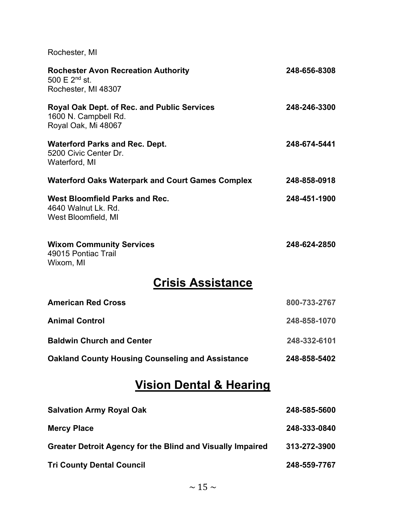Rochester, MI

| <b>Rochester Avon Recreation Authority</b><br>500 E 2 <sup>nd</sup> st.<br>Rochester, MI 48307    | 248-656-8308 |  |
|---------------------------------------------------------------------------------------------------|--------------|--|
| <b>Royal Oak Dept. of Rec. and Public Services</b><br>1600 N. Campbell Rd.<br>Royal Oak, Mi 48067 | 248-246-3300 |  |
| <b>Waterford Parks and Rec. Dept.</b><br>5200 Civic Center Dr.<br>Waterford, MI                   | 248-674-5441 |  |
| <b>Waterford Oaks Waterpark and Court Games Complex</b>                                           | 248-858-0918 |  |
| <b>West Bloomfield Parks and Rec.</b><br>4640 Walnut Lk, Rd.<br>West Bloomfield, MI               | 248-451-1900 |  |
| <b>Wixom Community Services</b><br>49015 Pontiac Trail<br>Wixom, MI                               | 248-624-2850 |  |
| <b>Crisis Assistance</b>                                                                          |              |  |
| <b>American Red Cross</b>                                                                         | 800-733-2767 |  |
| <b>Animal Control</b>                                                                             | 248-858-1070 |  |
| <b>Baldwin Church and Center</b>                                                                  | 248-332-6101 |  |
| <b>Oakland County Housing Counseling and Assistance</b>                                           | 248-858-5402 |  |
| <b>Vision Dental &amp; Hearing</b>                                                                |              |  |
| <b>Salvation Army Royal Oak</b>                                                                   | 248-585-5600 |  |
| <b>Mercy Place</b>                                                                                | 248-333-0840 |  |
| <b>Greater Detroit Agency for the Blind and Visually Impaired</b>                                 | 313-272-3900 |  |
| <b>Tri County Dental Council</b>                                                                  | 248-559-7767 |  |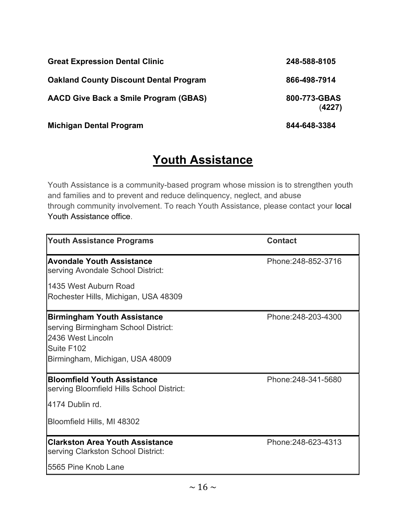| <b>Great Expression Dental Clinic</b>         | 248-588-8105           |
|-----------------------------------------------|------------------------|
| <b>Oakland County Discount Dental Program</b> | 866-498-7914           |
| <b>AACD Give Back a Smile Program (GBAS)</b>  | 800-773-GBAS<br>(4227) |
| <b>Michigan Dental Program</b>                | 844-648-3384           |

## Youth Assistance

Youth Assistance is a community-based program whose mission is to strengthen youth and families and to prevent and reduce delinquency, neglect, and abuse through community involvement. To reach Youth Assistance, please contact your local Youth Assistance office.

| <b>Youth Assistance Programs</b>                                                                                                                | <b>Contact</b>      |
|-------------------------------------------------------------------------------------------------------------------------------------------------|---------------------|
| <b>Avondale Youth Assistance</b><br>serving Avondale School District:                                                                           | Phone: 248-852-3716 |
| 1435 West Auburn Road<br>Rochester Hills, Michigan, USA 48309                                                                                   |                     |
| <b>Birmingham Youth Assistance</b><br>serving Birmingham School District:<br>2436 West Lincoln<br>Suite F102<br>Birmingham, Michigan, USA 48009 | Phone: 248-203-4300 |
| <b>Bloomfield Youth Assistance</b><br>serving Bloomfield Hills School District:<br>4174 Dublin rd.<br>Bloomfield Hills, MI 48302                | Phone: 248-341-5680 |
| <b>Clarkston Area Youth Assistance</b><br>serving Clarkston School District:<br>5565 Pine Knob Lane                                             | Phone: 248-623-4313 |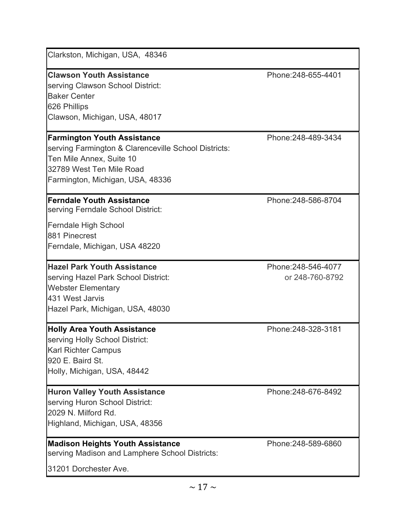| Clarkston, Michigan, USA, 48346                                                                                                                                                        |                                        |
|----------------------------------------------------------------------------------------------------------------------------------------------------------------------------------------|----------------------------------------|
| <b>Clawson Youth Assistance</b><br>serving Clawson School District:<br><b>Baker Center</b><br>626 Phillips<br>Clawson, Michigan, USA, 48017                                            | Phone: 248-655-4401                    |
| <b>Farmington Youth Assistance</b><br>serving Farmington & Clarenceville School Districts:<br>Ten Mile Annex, Suite 10<br>32789 West Ten Mile Road<br>Farmington, Michigan, USA, 48336 | Phone: 248-489-3434                    |
| <b>Ferndale Youth Assistance</b><br>serving Ferndale School District:<br>Ferndale High School<br>881 Pinecrest<br>Ferndale, Michigan, USA 48220                                        | Phone: 248-586-8704                    |
| <b>Hazel Park Youth Assistance</b><br>serving Hazel Park School District:<br><b>Webster Elementary</b><br>431 West Jarvis<br>Hazel Park, Michigan, USA, 48030                          | Phone: 248-546-4077<br>or 248-760-8792 |
| <b>Holly Area Youth Assistance</b><br>serving Holly School District:<br><b>Karl Richter Campus</b><br>920 E. Baird St.<br>Holly, Michigan, USA, 48442                                  | Phone: 248-328-3181                    |
| <b>Huron Valley Youth Assistance</b><br>serving Huron School District:<br>2029 N. Milford Rd.<br>Highland, Michigan, USA, 48356                                                        | Phone: 248-676-8492                    |
| <b>Madison Heights Youth Assistance</b><br>serving Madison and Lamphere School Districts:<br>31201 Dorchester Ave.                                                                     | Phone: 248-589-6860                    |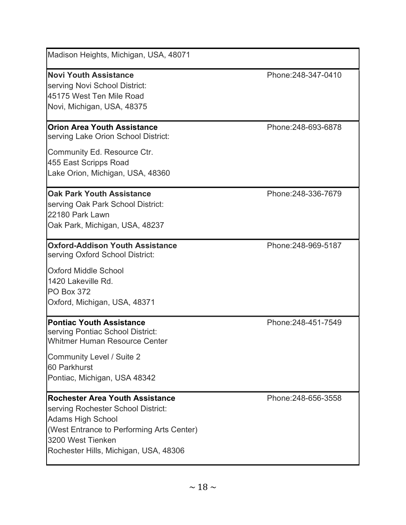| Madison Heights, Michigan, USA, 48071                                                                                                                                                                               |                     |
|---------------------------------------------------------------------------------------------------------------------------------------------------------------------------------------------------------------------|---------------------|
| <b>Novi Youth Assistance</b><br>serving Novi School District:<br>45175 West Ten Mile Road<br>Novi, Michigan, USA, 48375                                                                                             | Phone: 248-347-0410 |
| <b>Orion Area Youth Assistance</b><br>serving Lake Orion School District:<br>Community Ed. Resource Ctr.<br>455 East Scripps Road                                                                                   | Phone: 248-693-6878 |
| Lake Orion, Michigan, USA, 48360                                                                                                                                                                                    |                     |
| <b>Oak Park Youth Assistance</b><br>serving Oak Park School District:<br>22180 Park Lawn<br>Oak Park, Michigan, USA, 48237                                                                                          | Phone: 248-336-7679 |
| <b>Oxford-Addison Youth Assistance</b><br>serving Oxford School District:                                                                                                                                           | Phone: 248-969-5187 |
| <b>Oxford Middle School</b><br>1420 Lakeville Rd.<br><b>PO Box 372</b><br>Oxford, Michigan, USA, 48371                                                                                                              |                     |
| <b>Pontiac Youth Assistance</b><br>serving Pontiac School District:<br>Whitmer Human Resource Center                                                                                                                | Phone: 248-451-7549 |
| <b>Community Level / Suite 2</b><br>60 Parkhurst<br>Pontiac, Michigan, USA 48342                                                                                                                                    |                     |
| <b>Rochester Area Youth Assistance</b><br>serving Rochester School District:<br><b>Adams High School</b><br>(West Entrance to Performing Arts Center)<br>3200 West Tienken<br>Rochester Hills, Michigan, USA, 48306 | Phone: 248-656-3558 |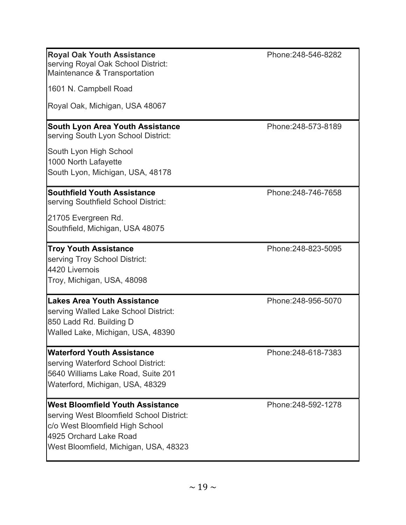| <b>Royal Oak Youth Assistance</b><br>serving Royal Oak School District:<br>Maintenance & Transportation                                                                                   | Phone: 248-546-8282 |
|-------------------------------------------------------------------------------------------------------------------------------------------------------------------------------------------|---------------------|
| 1601 N. Campbell Road                                                                                                                                                                     |                     |
| Royal Oak, Michigan, USA 48067                                                                                                                                                            |                     |
| <b>South Lyon Area Youth Assistance</b><br>serving South Lyon School District:                                                                                                            | Phone: 248-573-8189 |
| South Lyon High School<br>1000 North Lafayette<br>South Lyon, Michigan, USA, 48178                                                                                                        |                     |
| <b>Southfield Youth Assistance</b><br>serving Southfield School District:                                                                                                                 | Phone: 248-746-7658 |
| 21705 Evergreen Rd.<br>Southfield, Michigan, USA 48075                                                                                                                                    |                     |
| <b>Troy Youth Assistance</b><br>serving Troy School District:<br>4420 Livernois<br>Troy, Michigan, USA, 48098                                                                             | Phone: 248-823-5095 |
| <b>Lakes Area Youth Assistance</b><br>serving Walled Lake School District:<br>850 Ladd Rd. Building D<br>Walled Lake, Michigan, USA, 48390                                                | Phone: 248-956-5070 |
| <b>Waterford Youth Assistance</b><br>serving Waterford School District:<br>5640 Williams Lake Road, Suite 201<br>Waterford, Michigan, USA, 48329                                          | Phone: 248-618-7383 |
| <b>West Bloomfield Youth Assistance</b><br>serving West Bloomfield School District:<br>c/o West Bloomfield High School<br>4925 Orchard Lake Road<br>West Bloomfield, Michigan, USA, 48323 | Phone: 248-592-1278 |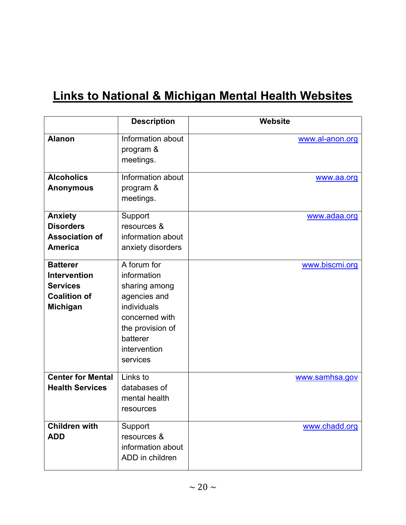## Links to National & Michigan Mental Health Websites

|                                                                                                     | <b>Description</b>                                                                                                                                       | Website         |
|-----------------------------------------------------------------------------------------------------|----------------------------------------------------------------------------------------------------------------------------------------------------------|-----------------|
| <b>Alanon</b>                                                                                       | Information about<br>program &<br>meetings.                                                                                                              | www.al-anon.org |
| <b>Alcoholics</b><br><b>Anonymous</b>                                                               | Information about<br>program &<br>meetings.                                                                                                              | www.aa.org      |
| <b>Anxiety</b><br><b>Disorders</b><br><b>Association of</b><br><b>America</b>                       | Support<br>resources &<br>information about<br>anxiety disorders                                                                                         | www.adaa.org    |
| <b>Batterer</b><br><b>Intervention</b><br><b>Services</b><br><b>Coalition of</b><br><b>Michigan</b> | A forum for<br>information<br>sharing among<br>agencies and<br>individuals<br>concerned with<br>the provision of<br>batterer<br>intervention<br>services | www.biscmi.org  |
| <b>Center for Mental</b><br><b>Health Services</b>                                                  | Links to<br>databases of<br>mental health<br>resources                                                                                                   | www.samhsa.gov  |
| <b>Children with</b><br><b>ADD</b>                                                                  | Support<br>resources &<br>information about<br>ADD in children                                                                                           | www.chadd.org   |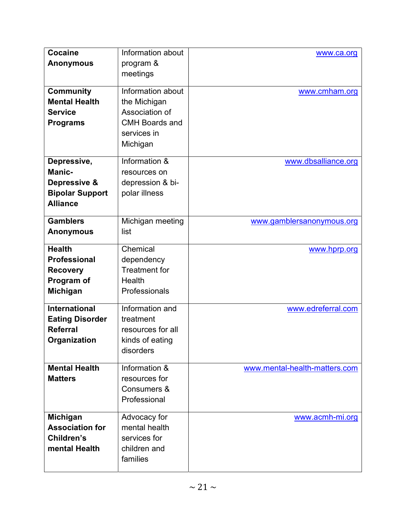| <b>Cocaine</b>         | Information about     | www.ca.org                    |
|------------------------|-----------------------|-------------------------------|
|                        |                       |                               |
| <b>Anonymous</b>       | program &             |                               |
|                        | meetings              |                               |
| <b>Community</b>       | Information about     | www.cmham.org                 |
| <b>Mental Health</b>   | the Michigan          |                               |
| <b>Service</b>         | Association of        |                               |
| <b>Programs</b>        | <b>CMH Boards and</b> |                               |
|                        | services in           |                               |
|                        | Michigan              |                               |
|                        |                       |                               |
| Depressive,            | Information &         | www.dbsalliance.org           |
| <b>Manic-</b>          | resources on          |                               |
| Depressive &           | depression & bi-      |                               |
| <b>Bipolar Support</b> | polar illness         |                               |
| <b>Alliance</b>        |                       |                               |
|                        |                       |                               |
| <b>Gamblers</b>        | Michigan meeting      | www.gamblersanonymous.org     |
| <b>Anonymous</b>       | list                  |                               |
| <b>Health</b>          | Chemical              |                               |
|                        |                       | www.hprp.org                  |
| <b>Professional</b>    | dependency            |                               |
| <b>Recovery</b>        | <b>Treatment for</b>  |                               |
| Program of             | Health                |                               |
| <b>Michigan</b>        | Professionals         |                               |
| <b>International</b>   | Information and       | www.edreferral.com            |
| <b>Eating Disorder</b> | treatment             |                               |
| <b>Referral</b>        | resources for all     |                               |
| Organization           | kinds of eating       |                               |
|                        | disorders             |                               |
|                        |                       |                               |
| <b>Mental Health</b>   | Information &         | www.mental-health-matters.com |
| <b>Matters</b>         | resources for         |                               |
|                        | Consumers &           |                               |
|                        | Professional          |                               |
|                        |                       |                               |
| <b>Michigan</b>        | Advocacy for          | www.acmh-mi.org               |
| <b>Association for</b> | mental health         |                               |
| Children's             | services for          |                               |
| mental Health          | children and          |                               |
|                        | families              |                               |
|                        |                       |                               |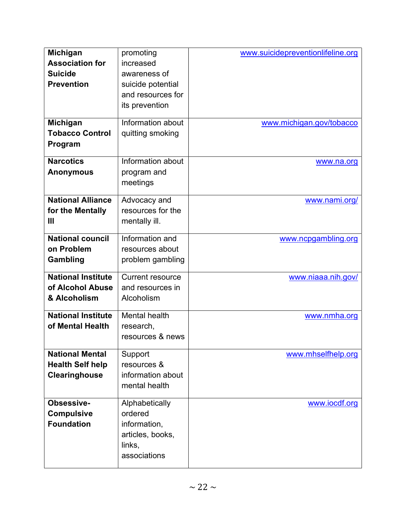| <b>Michigan</b>           | promoting               | www.suicidepreventionlifeline.org |
|---------------------------|-------------------------|-----------------------------------|
| <b>Association for</b>    | increased               |                                   |
| <b>Suicide</b>            | awareness of            |                                   |
| <b>Prevention</b>         | suicide potential       |                                   |
|                           | and resources for       |                                   |
|                           | its prevention          |                                   |
|                           |                         |                                   |
| <b>Michigan</b>           | Information about       | www.michigan.gov/tobacco          |
| <b>Tobacco Control</b>    | quitting smoking        |                                   |
| Program                   |                         |                                   |
| <b>Narcotics</b>          | Information about       | www.na.org                        |
| <b>Anonymous</b>          | program and             |                                   |
|                           | meetings                |                                   |
|                           |                         |                                   |
| <b>National Alliance</b>  | Advocacy and            | www.nami.org/                     |
| for the Mentally          | resources for the       |                                   |
| Ш                         | mentally ill.           |                                   |
| <b>National council</b>   | Information and         | www.ncpgambling.org               |
| on Problem                | resources about         |                                   |
|                           |                         |                                   |
| Gambling                  | problem gambling        |                                   |
| <b>National Institute</b> | <b>Current resource</b> | www.niaaa.nih.gov/                |
| of Alcohol Abuse          | and resources in        |                                   |
| & Alcoholism              | Alcoholism              |                                   |
| <b>National Institute</b> | Mental health           | www.nmha.org                      |
| of Mental Health          | research,               |                                   |
|                           | resources & news        |                                   |
|                           |                         |                                   |
| <b>National Mental</b>    | Support                 | www.mhselfhelp.org                |
| <b>Health Self help</b>   | resources &             |                                   |
| Clearinghouse             | information about       |                                   |
|                           | mental health           |                                   |
| Obsessive-                | Alphabetically          |                                   |
| <b>Compulsive</b>         | ordered                 | www.iocdf.org                     |
| <b>Foundation</b>         | information,            |                                   |
|                           | articles, books,        |                                   |
|                           |                         |                                   |
|                           | links,<br>associations  |                                   |
|                           |                         |                                   |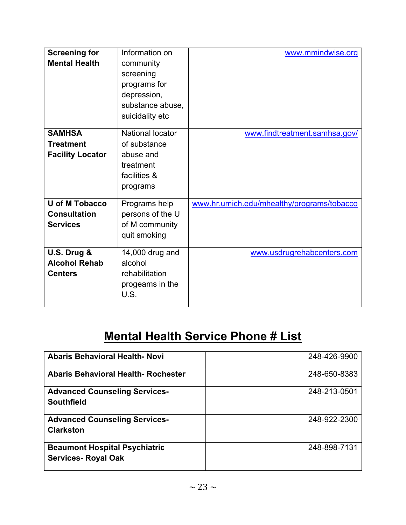| <b>Screening for</b><br><b>Mental Health</b>                    | Information on<br>community<br>screening<br>programs for<br>depression,<br>substance abuse,<br>suicidality etc | www.mmindwise.org                          |
|-----------------------------------------------------------------|----------------------------------------------------------------------------------------------------------------|--------------------------------------------|
| <b>SAMHSA</b><br><b>Treatment</b><br><b>Facility Locator</b>    | <b>National locator</b><br>of substance<br>abuse and<br>treatment<br>facilities &<br>programs                  | www.findtreatment.samhsa.gov/              |
| <b>U of M Tobacco</b><br><b>Consultation</b><br><b>Services</b> | Programs help<br>persons of the U<br>of M community<br>quit smoking                                            | www.hr.umich.edu/mhealthy/programs/tobacco |
| U.S. Drug &<br><b>Alcohol Rehab</b><br><b>Centers</b>           | 14,000 drug and<br>alcohol<br>rehabilitation<br>progeams in the<br>U.S.                                        | www.usdrugrehabcenters.com                 |

## **Mental Health Service Phone # List**

| <b>Abaris Behavioral Health-Novi</b>                               | 248-426-9900 |
|--------------------------------------------------------------------|--------------|
| <b>Abaris Behavioral Health- Rochester</b>                         | 248-650-8383 |
| <b>Advanced Counseling Services-</b><br><b>Southfield</b>          | 248-213-0501 |
| <b>Advanced Counseling Services-</b><br><b>Clarkston</b>           | 248-922-2300 |
| <b>Beaumont Hospital Psychiatric</b><br><b>Services- Royal Oak</b> | 248-898-7131 |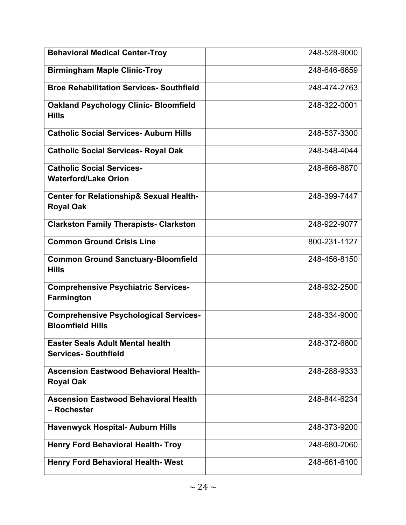| <b>Behavioral Medical Center-Troy</b>                                   | 248-528-9000 |
|-------------------------------------------------------------------------|--------------|
| <b>Birmingham Maple Clinic-Troy</b>                                     | 248-646-6659 |
| <b>Broe Rehabilitation Services- Southfield</b>                         | 248-474-2763 |
| <b>Oakland Psychology Clinic- Bloomfield</b><br><b>Hills</b>            | 248-322-0001 |
| <b>Catholic Social Services- Auburn Hills</b>                           | 248-537-3300 |
| <b>Catholic Social Services- Royal Oak</b>                              | 248-548-4044 |
| <b>Catholic Social Services-</b><br><b>Waterford/Lake Orion</b>         | 248-666-8870 |
| <b>Center for Relationship&amp; Sexual Health-</b><br><b>Royal Oak</b>  | 248-399-7447 |
| <b>Clarkston Family Therapists- Clarkston</b>                           | 248-922-9077 |
| <b>Common Ground Crisis Line</b>                                        | 800-231-1127 |
| <b>Common Ground Sanctuary-Bloomfield</b><br><b>Hills</b>               | 248-456-8150 |
| <b>Comprehensive Psychiatric Services-</b><br>Farmington                | 248-932-2500 |
| <b>Comprehensive Psychological Services-</b><br><b>Bloomfield Hills</b> | 248-334-9000 |
| Easter Seals Adult Mental health<br><b>Services-Southfield</b>          | 248-372-6800 |
| <b>Ascension Eastwood Behavioral Health-</b><br><b>Royal Oak</b>        | 248-288-9333 |
| <b>Ascension Eastwood Behavioral Health</b><br>- Rochester              | 248-844-6234 |
| <b>Havenwyck Hospital- Auburn Hills</b>                                 | 248-373-9200 |
| <b>Henry Ford Behavioral Health- Troy</b>                               | 248-680-2060 |
| <b>Henry Ford Behavioral Health-West</b>                                | 248-661-6100 |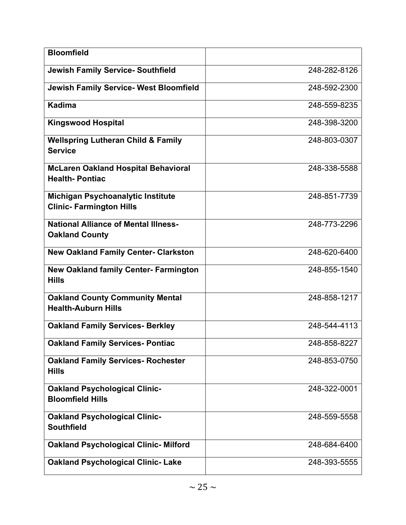| <b>Bloomfield</b>                                                    |              |
|----------------------------------------------------------------------|--------------|
| <b>Jewish Family Service- Southfield</b>                             | 248-282-8126 |
| <b>Jewish Family Service- West Bloomfield</b>                        | 248-592-2300 |
| <b>Kadima</b>                                                        | 248-559-8235 |
| <b>Kingswood Hospital</b>                                            | 248-398-3200 |
| <b>Wellspring Lutheran Child &amp; Family</b><br><b>Service</b>      | 248-803-0307 |
| <b>McLaren Oakland Hospital Behavioral</b><br><b>Health-Pontiac</b>  | 248-338-5588 |
| Michigan Psychoanalytic Institute<br><b>Clinic- Farmington Hills</b> | 248-851-7739 |
| <b>National Alliance of Mental Illness-</b><br><b>Oakland County</b> | 248-773-2296 |
| <b>New Oakland Family Center- Clarkston</b>                          | 248-620-6400 |
| <b>New Oakland family Center- Farmington</b><br><b>Hills</b>         | 248-855-1540 |
| <b>Oakland County Community Mental</b><br><b>Health-Auburn Hills</b> | 248-858-1217 |
| <b>Oakland Family Services- Berkley</b>                              | 248-544-4113 |
| <b>Oakland Family Services- Pontiac</b>                              | 248-858-8227 |
| <b>Oakland Family Services- Rochester</b><br><b>Hills</b>            | 248-853-0750 |
| <b>Oakland Psychological Clinic-</b><br><b>Bloomfield Hills</b>      | 248-322-0001 |
| <b>Oakland Psychological Clinic-</b><br><b>Southfield</b>            | 248-559-5558 |
| <b>Oakland Psychological Clinic- Milford</b>                         | 248-684-6400 |
| <b>Oakland Psychological Clinic- Lake</b>                            | 248-393-5555 |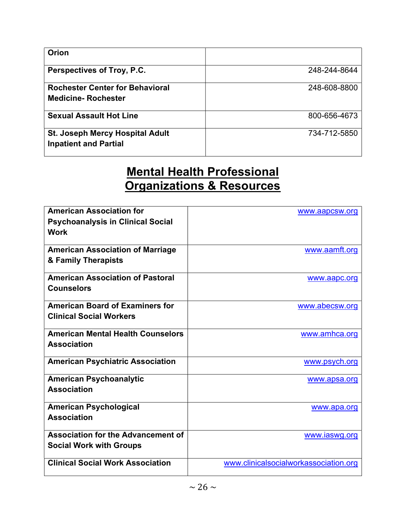| Orion                                                               |              |
|---------------------------------------------------------------------|--------------|
| Perspectives of Troy, P.C.                                          | 248-244-8644 |
| <b>Rochester Center for Behavioral</b><br><b>Medicine-Rochester</b> | 248-608-8800 |
| <b>Sexual Assault Hot Line</b>                                      | 800-656-4673 |
| St. Joseph Mercy Hospital Adult<br><b>Inpatient and Partial</b>     | 734-712-5850 |

#### Mental Health Professional Organizations & Resources

| <b>American Association for</b>           | www.aapcsw.org                        |
|-------------------------------------------|---------------------------------------|
| <b>Psychoanalysis in Clinical Social</b>  |                                       |
| <b>Work</b>                               |                                       |
|                                           |                                       |
| <b>American Association of Marriage</b>   | www.aamft.org                         |
| & Family Therapists                       |                                       |
|                                           |                                       |
| <b>American Association of Pastoral</b>   | www.aapc.org                          |
| <b>Counselors</b>                         |                                       |
|                                           |                                       |
| <b>American Board of Examiners for</b>    | www.abecsw.org                        |
| <b>Clinical Social Workers</b>            |                                       |
|                                           |                                       |
| <b>American Mental Health Counselors</b>  | www.amhca.org                         |
| <b>Association</b>                        |                                       |
|                                           |                                       |
| <b>American Psychiatric Association</b>   | www.psych.org                         |
| <b>American Psychoanalytic</b>            | www.apsa.org                          |
| <b>Association</b>                        |                                       |
|                                           |                                       |
| <b>American Psychological</b>             | www.apa.org                           |
| <b>Association</b>                        |                                       |
|                                           |                                       |
| <b>Association for the Advancement of</b> | www.iaswg.org                         |
| <b>Social Work with Groups</b>            |                                       |
|                                           |                                       |
| <b>Clinical Social Work Association</b>   | www.clinicalsocialworkassociation.org |
|                                           |                                       |